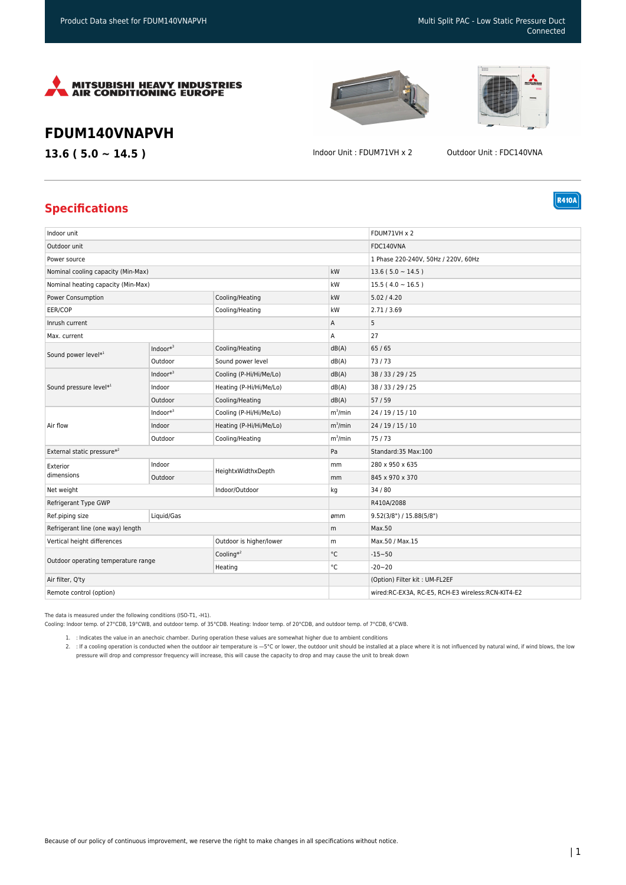



**R410A** 

## **FDUM140VNAPVH**

**13.6 ( 5.0 ~ 14.5 )** Indoor Unit : FDUM71VH x 2 Outdoor Unit : FDC140VNA

## **Specifications**

| Indoor unit                         |            |                         |              | FDUM71VH x 2                                      |
|-------------------------------------|------------|-------------------------|--------------|---------------------------------------------------|
| Outdoor unit                        |            |                         |              | FDC140VNA                                         |
| Power source                        |            |                         |              | 1 Phase 220-240V, 50Hz / 220V, 60Hz               |
| Nominal cooling capacity (Min-Max)  |            |                         | kW           | $13.6(5.0 \sim 14.5)$                             |
| Nominal heating capacity (Min-Max)  |            |                         | kW           | $15.5(4.0 \sim 16.5)$                             |
| Power Consumption                   |            | Cooling/Heating         | kW           | 5.02 / 4.20                                       |
| EER/COP                             |            | Cooling/Heating         | kW           | 2.71/3.69                                         |
| Inrush current                      |            |                         | Α            | 5                                                 |
| Max. current                        |            |                         | Α            | 27                                                |
| Sound power level*1                 | $Indoor*3$ | Cooling/Heating         | dB(A)        | 65/65                                             |
|                                     | Outdoor    | Sound power level       | dB(A)        | 73/73                                             |
| Sound pressure level <sup>*1</sup>  | $Indoor*3$ | Cooling (P-Hi/Hi/Me/Lo) | dB(A)        | 38 / 33 / 29 / 25                                 |
|                                     | Indoor     | Heating (P-Hi/Hi/Me/Lo) | dB(A)        | 38 / 33 / 29 / 25                                 |
|                                     | Outdoor    | Cooling/Heating         | dB(A)        | 57/59                                             |
| Air flow                            | $Indoor*3$ | Cooling (P-Hi/Hi/Me/Lo) | $m^3/m$ in   | 24 / 19 / 15 / 10                                 |
|                                     | Indoor     | Heating (P-Hi/Hi/Me/Lo) | $m^3/m$ in   | 24 / 19 / 15 / 10                                 |
|                                     | Outdoor    | Cooling/Heating         | $m^3/m$ in   | 75/73                                             |
| External static pressure*2          |            |                         | Pa           | Standard:35 Max:100                               |
| Exterior<br>dimensions              | Indoor     | HeightxWidthxDepth      | mm           | 280 x 950 x 635                                   |
|                                     | Outdoor    |                         | mm           | 845 x 970 x 370                                   |
| Net weight                          |            | Indoor/Outdoor          | kg           | 34/80                                             |
| Refrigerant Type GWP                |            |                         |              | R410A/2088                                        |
| Ref.piping size                     | Liquid/Gas |                         | ømm          | 9.52(3/8") / 15.88(5/8")                          |
| Refrigerant line (one way) length   |            |                         | m            | Max.50                                            |
| Vertical height differences         |            | Outdoor is higher/lower | m            | Max.50 / Max.15                                   |
| Outdoor operating temperature range |            | Cooling $*^2$           | $^{\circ}$ C | $-15 - 50$                                        |
|                                     |            | Heating                 | $^{\circ}$ C | $-20 - 20$                                        |
| Air filter, Q'ty                    |            |                         |              | (Option) Filter kit: UM-FL2EF                     |
| Remote control (option)             |            |                         |              | wired:RC-EX3A, RC-E5, RCH-E3 wireless:RCN-KIT4-E2 |

The data is measured under the following conditions (ISO-T1, -H1).

Cooling: Indoor temp. of 27°CDB, 19°CWB, and outdoor temp. of 35°CDB. Heating: Indoor temp. of 20°CDB, and outdoor temp. of 7°CDB, 6°CWB.

1. : Indicates the value in an anechoic chamber. During operation these values are somewhat higher due to ambient conditions

2. : If a cooling operation is conducted when the outdoor air temperature is —5°C or lower, the outdoor unit should be installed at a place where it is not influenced by natural wind, if wind blows, the low pressure will drop and compressor frequency will increase, this will cause the capacity to drop and may cause the unit to break down